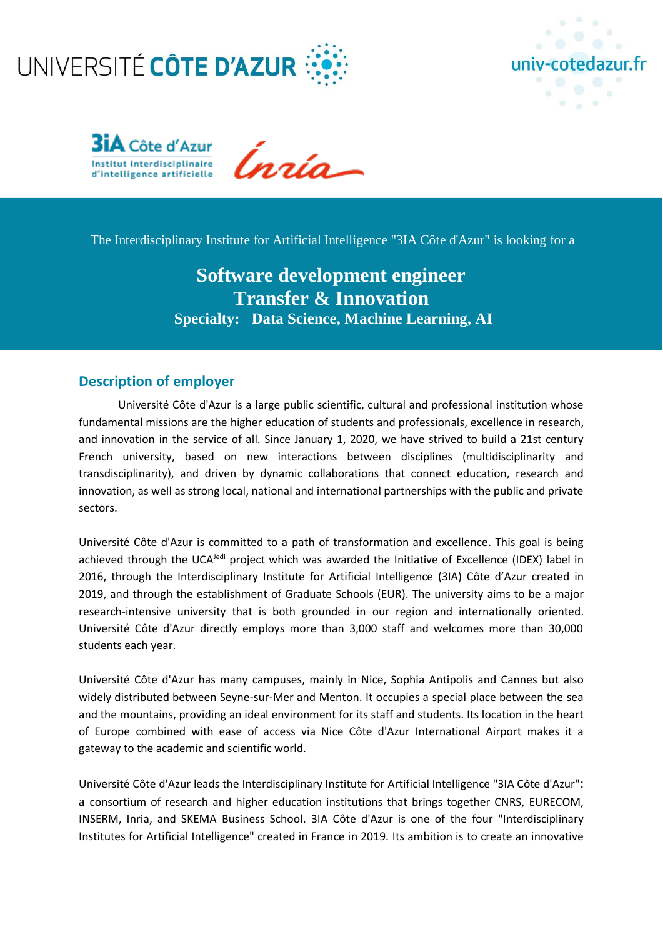





The Interdisciplinary Institute for Artificial Intelligence "3IA Côte d'Azur" is looking for a

# **Software development engineer Transfer & Innovation Specialty: Data Science, Machine Learning, AI**

# **Description of employer**

Université Côte d'Azur is a large public scientific, cultural and professional institution whose fundamental missions are the higher education of students and professionals, excellence in research, and innovation in the service of all. Since January 1, 2020, we have strived to build a 21st century French university, based on new interactions between disciplines (multidisciplinarity and transdisciplinarity), and driven by dynamic collaborations that connect education, research and innovation, as well as strong local, national and international partnerships with the public and private sectors.

Université Côte d'Azur is committed to a path of transformation and excellence. This goal is being achieved through the UCA<sup>Jedi</sup> project which was awarded the Initiative of Excellence (IDEX) label in 2016, through the Interdisciplinary Institute for Artificial Intelligence (3IA) Côte d'Azur created in 2019, and through the establishment of Graduate Schools (EUR). The university aims to be a major research-intensive university that is both grounded in our region and internationally oriented. Université Côte d'Azur directly employs more than 3,000 staff and welcomes more than 30,000 students each year.

Université Côte d'Azur has many campuses, mainly in Nice, Sophia Antipolis and Cannes but also widely distributed between Seyne-sur-Mer and Menton. It occupies a special place between the sea and the mountains, providing an ideal environment for its staff and students. Its location in the heart of Europe combined with ease of access via Nice Côte d'Azur International Airport makes it a gateway to the academic and scientific world.

Université Côte d'Azur leads the Interdisciplinary Institute for Artificial Intelligence "3IA Côte d'Azur": a consortium of research and higher education institutions that brings together CNRS, EURECOM, INSERM, Inria, and SKEMA Business School. 3IA Côte d'Azur is one of the four "Interdisciplinary Institutes for Artificial Intelligence" created in France in 2019. Its ambition is to create an innovative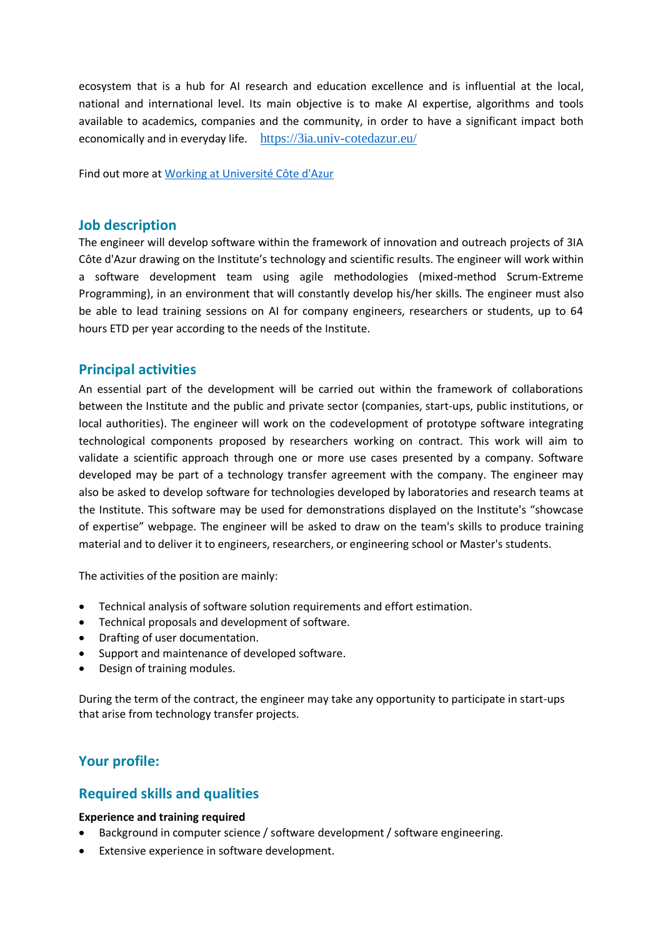ecosystem that is a hub for AI research and education excellence and is influential at the local, national and international level. Its main objective is to make AI expertise, algorithms and tools available to academics, companies and the community, in order to have a significant impact both economically and in everyday life. <https://3ia.univ-cotedazur.eu/>

Find out more at [Working at Université Côte d'Azur](https://univ-cotedazur.eu/working-for-universite-cote-dazur)

# **Job description**

The engineer will develop software within the framework of innovation and outreach projects of 3IA Côte d'Azur drawing on the Institute's technology and scientific results. The engineer will work within a software development team using agile methodologies (mixed-method Scrum-Extreme Programming), in an environment that will constantly develop his/her skills. The engineer must also be able to lead training sessions on AI for company engineers, researchers or students, up to 64 hours ETD per year according to the needs of the Institute.

# **Principal activities**

An essential part of the development will be carried out within the framework of collaborations between the Institute and the public and private sector (companies, start-ups, public institutions, or local authorities). The engineer will work on the codevelopment of prototype software integrating technological components proposed by researchers working on contract. This work will aim to validate a scientific approach through one or more use cases presented by a company. Software developed may be part of a technology transfer agreement with the company. The engineer may also be asked to develop software for technologies developed by laboratories and research teams at the Institute. This software may be used for demonstrations displayed on the Institute's "showcase of expertise" webpage. The engineer will be asked to draw on the team's skills to produce training material and to deliver it to engineers, researchers, or engineering school or Master's students.

The activities of the position are mainly:

- Technical analysis of software solution requirements and effort estimation.
- Technical proposals and development of software.
- Drafting of user documentation.
- Support and maintenance of developed software.
- Design of training modules.

During the term of the contract, the engineer may take any opportunity to participate in start-ups that arise from technology transfer projects.

# **Your profile:**

# **Required skills and qualities**

#### **Experience and training required**

- Background in computer science / software development / software engineering.
- Extensive experience in software development.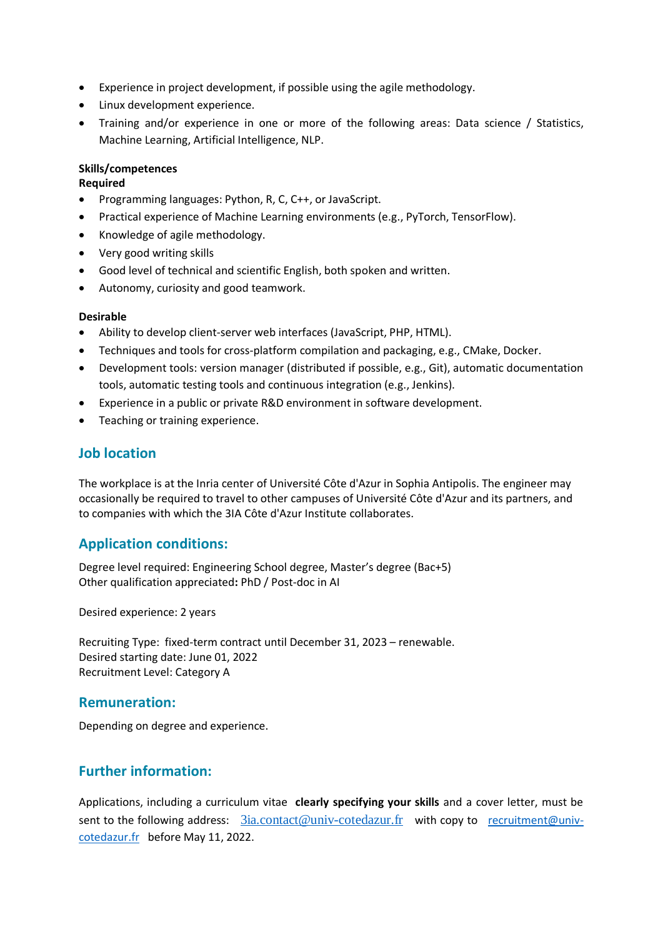- Experience in project development, if possible using the agile methodology.
- Linux development experience.
- Training and/or experience in one or more of the following areas: Data science / Statistics, Machine Learning, Artificial Intelligence, NLP.

#### **Skills/competences**

#### **Required**

- Programming languages: Python, R, C, C++, or JavaScript.
- Practical experience of Machine Learning environments (e.g., PyTorch, TensorFlow).
- Knowledge of agile methodology.
- Very good writing skills
- Good level of technical and scientific English, both spoken and written.
- Autonomy, curiosity and good teamwork.

#### **Desirable**

- Ability to develop client-server web interfaces (JavaScript, PHP, HTML).
- Techniques and tools for cross-platform compilation and packaging, e.g., CMake, Docker.
- Development tools: version manager (distributed if possible, e.g., Git), automatic documentation tools, automatic testing tools and continuous integration (e.g., Jenkins).
- Experience in a public or private R&D environment in software development.
- Teaching or training experience.

# **Job location**

The workplace is at the Inria center of Université Côte d'Azur in Sophia Antipolis. The engineer may occasionally be required to travel to other campuses of Université Côte d'Azur and its partners, and to companies with which the 3IA Côte d'Azur Institute collaborates.

# **Application conditions:**

Degree level required: Engineering School degree, Master's degree (Bac+5) Other qualification appreciated**:** PhD / Post-doc in AI

Desired experience: 2 years

Recruiting Type: fixed-term contract until December 31, 2023 – renewable. Desired starting date: June 01, 2022 Recruitment Level: Category A

# **Remuneration:**

Depending on degree and experience.

# **Further information:**

Applications, including a curriculum vitae **clearly specifying your skills** and a cover letter, must be sent to the following address:  $3ia$ .contact@univ-cotedazur.fr with copy to [recruitment@univ](mailto:recrutement@univ-cotedazur.fr)[cotedazur.fr](mailto:recrutement@univ-cotedazur.fr) before May 11, 2022.